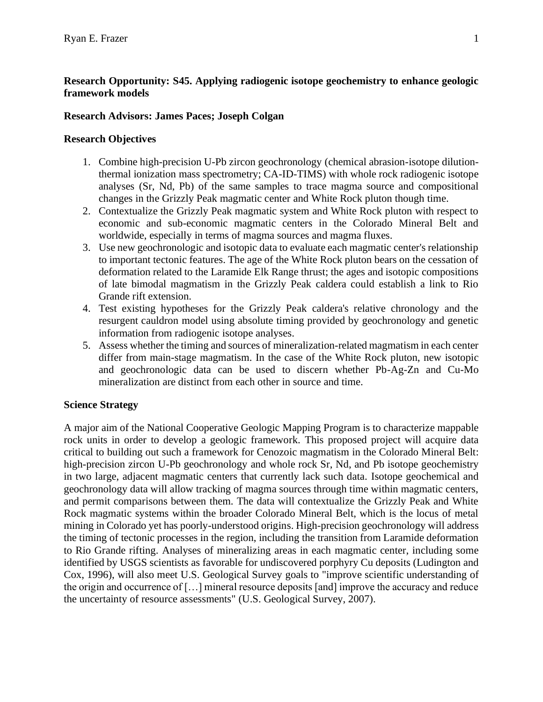# **Research Opportunity: S45. Applying radiogenic isotope geochemistry to enhance geologic framework models**

# **Research Advisors: James Paces; Joseph Colgan**

# **Research Objectives**

- 1. Combine high-precision U-Pb zircon geochronology (chemical abrasion-isotope dilutionthermal ionization mass spectrometry; CA-ID-TIMS) with whole rock radiogenic isotope analyses (Sr, Nd, Pb) of the same samples to trace magma source and compositional changes in the Grizzly Peak magmatic center and White Rock pluton though time.
- 2. Contextualize the Grizzly Peak magmatic system and White Rock pluton with respect to economic and sub-economic magmatic centers in the Colorado Mineral Belt and worldwide, especially in terms of magma sources and magma fluxes.
- 3. Use new geochronologic and isotopic data to evaluate each magmatic center's relationship to important tectonic features. The age of the White Rock pluton bears on the cessation of deformation related to the Laramide Elk Range thrust; the ages and isotopic compositions of late bimodal magmatism in the Grizzly Peak caldera could establish a link to Rio Grande rift extension.
- 4. Test existing hypotheses for the Grizzly Peak caldera's relative chronology and the resurgent cauldron model using absolute timing provided by geochronology and genetic information from radiogenic isotope analyses.
- 5. Assess whether the timing and sources of mineralization-related magmatism in each center differ from main-stage magmatism. In the case of the White Rock pluton, new isotopic and geochronologic data can be used to discern whether Pb-Ag-Zn and Cu-Mo mineralization are distinct from each other in source and time.

# **Science Strategy**

A major aim of the National Cooperative Geologic Mapping Program is to characterize mappable rock units in order to develop a geologic framework. This proposed project will acquire data critical to building out such a framework for Cenozoic magmatism in the Colorado Mineral Belt: high-precision zircon U-Pb geochronology and whole rock Sr, Nd, and Pb isotope geochemistry in two large, adjacent magmatic centers that currently lack such data. Isotope geochemical and geochronology data will allow tracking of magma sources through time within magmatic centers, and permit comparisons between them. The data will contextualize the Grizzly Peak and White Rock magmatic systems within the broader Colorado Mineral Belt, which is the locus of metal mining in Colorado yet has poorly-understood origins. High-precision geochronology will address the timing of tectonic processes in the region, including the transition from Laramide deformation to Rio Grande rifting. Analyses of mineralizing areas in each magmatic center, including some identified by USGS scientists as favorable for undiscovered porphyry Cu deposits (Ludington and Cox, 1996), will also meet U.S. Geological Survey goals to "improve scientific understanding of the origin and occurrence of […] mineral resource deposits [and] improve the accuracy and reduce the uncertainty of resource assessments" (U.S. Geological Survey, 2007).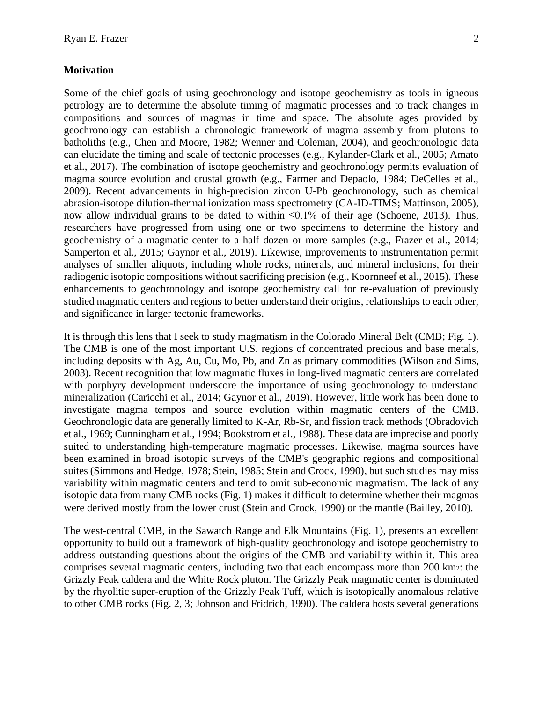#### **Motivation**

Some of the chief goals of using geochronology and isotope geochemistry as tools in igneous petrology are to determine the absolute timing of magmatic processes and to track changes in compositions and sources of magmas in time and space. The absolute ages provided by geochronology can establish a chronologic framework of magma assembly from plutons to batholiths (e.g., Chen and Moore, 1982; Wenner and Coleman, 2004), and geochronologic data can elucidate the timing and scale of tectonic processes (e.g., Kylander-Clark et al., 2005; Amato et al., 2017). The combination of isotope geochemistry and geochronology permits evaluation of magma source evolution and crustal growth (e.g., Farmer and Depaolo, 1984; DeCelles et al., 2009). Recent advancements in high-precision zircon U-Pb geochronology, such as chemical abrasion-isotope dilution-thermal ionization mass spectrometry (CA-ID-TIMS; Mattinson, 2005), now allow individual grains to be dated to within ≤0.1% of their age (Schoene, 2013). Thus, researchers have progressed from using one or two specimens to determine the history and geochemistry of a magmatic center to a half dozen or more samples (e.g., Frazer et al., 2014; Samperton et al., 2015; Gaynor et al., 2019). Likewise, improvements to instrumentation permit analyses of smaller aliquots, including whole rocks, minerals, and mineral inclusions, for their radiogenic isotopic compositions without sacrificing precision (e.g., Koornneef et al., 2015). These enhancements to geochronology and isotope geochemistry call for re-evaluation of previously studied magmatic centers and regions to better understand their origins, relationships to each other, and significance in larger tectonic frameworks.

It is through this lens that I seek to study magmatism in the Colorado Mineral Belt (CMB; Fig. 1). The CMB is one of the most important U.S. regions of concentrated precious and base metals, including deposits with Ag, Au, Cu, Mo, Pb, and Zn as primary commodities (Wilson and Sims, 2003). Recent recognition that low magmatic fluxes in long-lived magmatic centers are correlated with porphyry development underscore the importance of using geochronology to understand mineralization (Caricchi et al., 2014; Gaynor et al., 2019). However, little work has been done to investigate magma tempos and source evolution within magmatic centers of the CMB. Geochronologic data are generally limited to K-Ar, Rb-Sr, and fission track methods (Obradovich et al., 1969; Cunningham et al., 1994; Bookstrom et al., 1988). These data are imprecise and poorly suited to understanding high-temperature magmatic processes. Likewise, magma sources have been examined in broad isotopic surveys of the CMB's geographic regions and compositional suites (Simmons and Hedge, 1978; Stein, 1985; Stein and Crock, 1990), but such studies may miss variability within magmatic centers and tend to omit sub-economic magmatism. The lack of any isotopic data from many CMB rocks (Fig. 1) makes it difficult to determine whether their magmas were derived mostly from the lower crust (Stein and Crock, 1990) or the mantle (Bailley, 2010).

The west-central CMB, in the Sawatch Range and Elk Mountains (Fig. 1), presents an excellent opportunity to build out a framework of high-quality geochronology and isotope geochemistry to address outstanding questions about the origins of the CMB and variability within it. This area comprises several magmatic centers, including two that each encompass more than 200 km2: the Grizzly Peak caldera and the White Rock pluton. The Grizzly Peak magmatic center is dominated by the rhyolitic super-eruption of the Grizzly Peak Tuff, which is isotopically anomalous relative to other CMB rocks (Fig. 2, 3; Johnson and Fridrich, 1990). The caldera hosts several generations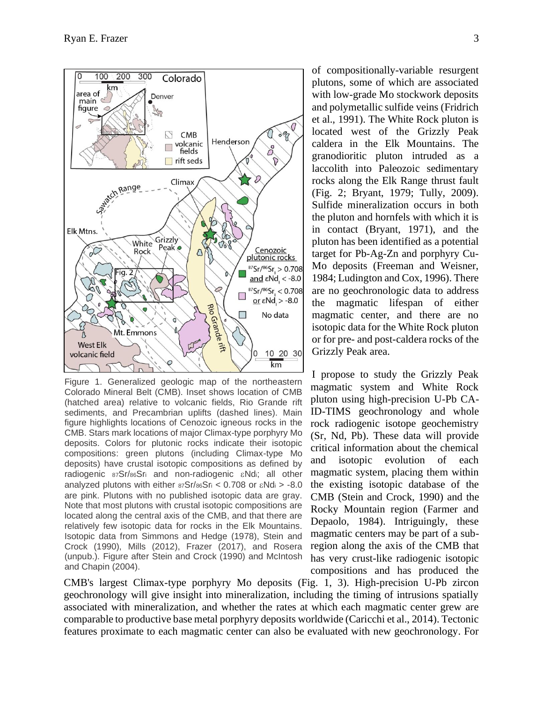

Figure 1. Generalized geologic map of the northeastern Colorado Mineral Belt (CMB). Inset shows location of CMB (hatched area) relative to volcanic fields, Rio Grande rift sediments, and Precambrian uplifts (dashed lines). Main figure highlights locations of Cenozoic igneous rocks in the CMB. Stars mark locations of major Climax-type porphyry Mo deposits. Colors for plutonic rocks indicate their isotopic compositions: green plutons (including Climax-type Mo deposits) have crustal isotopic compositions as defined by radiogenic 87Sr/86Sri and non-radiogenic εNdi; all other analyzed plutons with either  $87Sr/86Sr$  < 0.708 or  $\varepsilon$ Ndi > -8.0 are pink. Plutons with no published isotopic data are gray. Note that most plutons with crustal isotopic compositions are located along the central axis of the CMB, and that there are relatively few isotopic data for rocks in the Elk Mountains. Isotopic data from Simmons and Hedge (1978), Stein and Crock (1990), Mills (2012), Frazer (2017), and Rosera (unpub.). Figure after Stein and Crock (1990) and McIntosh and Chapin (2004).

of compositionally-variable resurgent plutons, some of which are associated with low-grade Mo stockwork deposits and polymetallic sulfide veins (Fridrich et al., 1991). The White Rock pluton is located west of the Grizzly Peak caldera in the Elk Mountains. The granodioritic pluton intruded as a laccolith into Paleozoic sedimentary rocks along the Elk Range thrust fault (Fig. 2; Bryant, 1979; Tully, 2009). Sulfide mineralization occurs in both the pluton and hornfels with which it is in contact (Bryant, 1971), and the pluton has been identified as a potential target for Pb-Ag-Zn and porphyry Cu-Mo deposits (Freeman and Weisner, 1984; Ludington and Cox, 1996). There are no geochronologic data to address the magmatic lifespan of either magmatic center, and there are no isotopic data for the White Rock pluton or for pre- and post-caldera rocks of the Grizzly Peak area.

I propose to study the Grizzly Peak magmatic system and White Rock pluton using high-precision U-Pb CA-ID-TIMS geochronology and whole rock radiogenic isotope geochemistry (Sr, Nd, Pb). These data will provide critical information about the chemical and isotopic evolution of each magmatic system, placing them within the existing isotopic database of the CMB (Stein and Crock, 1990) and the Rocky Mountain region (Farmer and Depaolo, 1984). Intriguingly, these magmatic centers may be part of a subregion along the axis of the CMB that has very crust-like radiogenic isotopic compositions and has produced the

CMB's largest Climax-type porphyry Mo deposits (Fig. 1, 3). High-precision U-Pb zircon geochronology will give insight into mineralization, including the timing of intrusions spatially associated with mineralization, and whether the rates at which each magmatic center grew are comparable to productive base metal porphyry deposits worldwide (Caricchi et al., 2014). Tectonic features proximate to each magmatic center can also be evaluated with new geochronology. For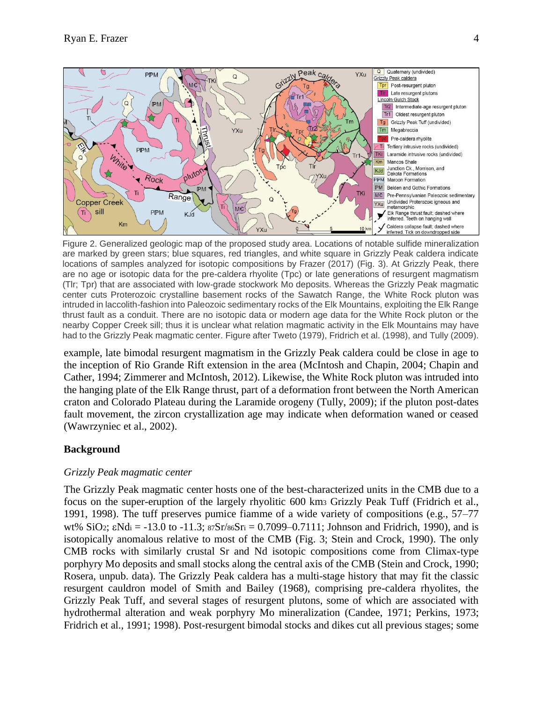

Figure 2. Generalized geologic map of the proposed study area. Locations of notable sulfide mineralization are marked by green stars; blue squares, red triangles, and white square in Grizzly Peak caldera indicate locations of samples analyzed for isotopic compositions by Frazer (2017) (Fig. 3). At Grizzly Peak, there are no age or isotopic data for the pre-caldera rhyolite (Tpc) or late generations of resurgent magmatism (Tlr; Tpr) that are associated with low-grade stockwork Mo deposits. Whereas the Grizzly Peak magmatic center cuts Proterozoic crystalline basement rocks of the Sawatch Range, the White Rock pluton was intruded in laccolith-fashion into Paleozoic sedimentary rocks of the Elk Mountains, exploiting the Elk Range thrust fault as a conduit. There are no isotopic data or modern age data for the White Rock pluton or the nearby Copper Creek sill; thus it is unclear what relation magmatic activity in the Elk Mountains may have had to the Grizzly Peak magmatic center. Figure after Tweto (1979), Fridrich et al. (1998), and Tully (2009).

example, late bimodal resurgent magmatism in the Grizzly Peak caldera could be close in age to the inception of Rio Grande Rift extension in the area (McIntosh and Chapin, 2004; Chapin and Cather, 1994; Zimmerer and McIntosh, 2012). Likewise, the White Rock pluton was intruded into the hanging plate of the Elk Range thrust, part of a deformation front between the North American craton and Colorado Plateau during the Laramide orogeny (Tully, 2009); if the pluton post-dates fault movement, the zircon crystallization age may indicate when deformation waned or ceased (Wawrzyniec et al., 2002).

## **Background**

## *Grizzly Peak magmatic center*

The Grizzly Peak magmatic center hosts one of the best-characterized units in the CMB due to a focus on the super-eruption of the largely rhyolitic 600 km<sup>3</sup> Grizzly Peak Tuff (Fridrich et al., 1991, 1998). The tuff preserves pumice fiamme of a wide variety of compositions (e.g., 57–77 wt% SiO2;  $\varepsilon$ Nd<sub>i</sub> = -13.0 to -11.3;  $87Sr/86Sr = 0.7099 - 0.7111$ ; Johnson and Fridrich, 1990), and is isotopically anomalous relative to most of the CMB (Fig. 3; Stein and Crock, 1990). The only CMB rocks with similarly crustal Sr and Nd isotopic compositions come from Climax-type porphyry Mo deposits and small stocks along the central axis of the CMB (Stein and Crock, 1990; Rosera, unpub. data). The Grizzly Peak caldera has a multi-stage history that may fit the classic resurgent cauldron model of Smith and Bailey (1968), comprising pre-caldera rhyolites, the Grizzly Peak Tuff, and several stages of resurgent plutons, some of which are associated with hydrothermal alteration and weak porphyry Mo mineralization (Candee, 1971; Perkins, 1973; Fridrich et al., 1991; 1998). Post-resurgent bimodal stocks and dikes cut all previous stages; some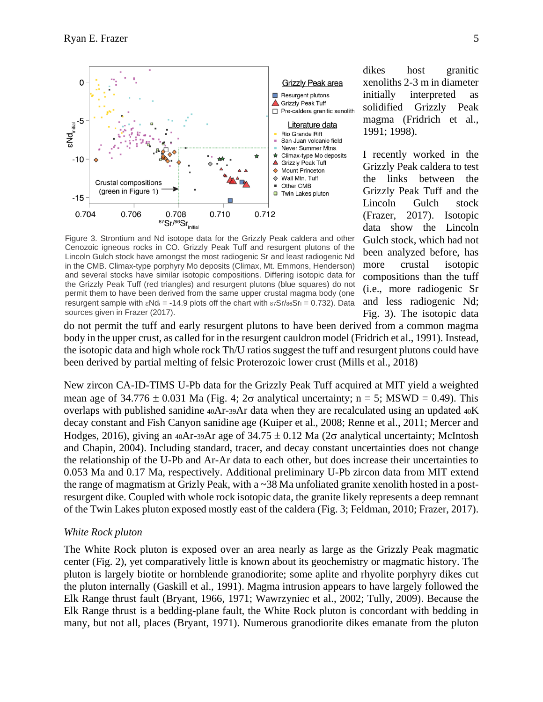

dikes host granitic xenoliths 2-3 m in diameter initially interpreted as solidified Grizzly Peak magma (Fridrich et al., 1991; 1998).

I recently worked in the Grizzly Peak caldera to test the links between the Grizzly Peak Tuff and the Lincoln Gulch stock (Frazer, 2017). Isotopic data show the Lincoln Gulch stock, which had not been analyzed before, has more crustal isotopic compositions than the tuff (i.e., more radiogenic Sr and less radiogenic Nd; Fig. 3). The isotopic data

Figure 3. Strontium and Nd isotope data for the Grizzly Peak caldera and other Cenozoic igneous rocks in CO. Grizzly Peak Tuff and resurgent plutons of the Lincoln Gulch stock have amongst the most radiogenic Sr and least radiogenic Nd in the CMB. Climax-type porphyry Mo deposits (Climax, Mt. Emmons, Henderson) and several stocks have similar isotopic compositions. Differing isotopic data for the Grizzly Peak Tuff (red triangles) and resurgent plutons (blue squares) do not permit them to have been derived from the same upper crustal magma body (one resurgent sample with  $\varepsilon$ Nd<sub>i</sub> = -14.9 plots off the chart with  $87Sr/86Sr = 0.732$ ). Data sources given in Frazer (2017).

do not permit the tuff and early resurgent plutons to have been derived from a common magma body in the upper crust, as called for in the resurgent cauldron model (Fridrich et al., 1991). Instead, the isotopic data and high whole rock Th/U ratios suggest the tuff and resurgent plutons could have been derived by partial melting of felsic Proterozoic lower crust (Mills et al., 2018)

New zircon CA-ID-TIMS U-Pb data for the Grizzly Peak Tuff acquired at MIT yield a weighted mean age of  $34.776 \pm 0.031$  Ma (Fig. 4;  $2\sigma$  analytical uncertainty; n = 5; MSWD = 0.49). This overlaps with published sanidine 40Ar-39Ar data when they are recalculated using an updated 40K decay constant and Fish Canyon sanidine age (Kuiper et al., 2008; Renne et al., 2011; Mercer and Hodges, 2016), giving an 40Ar-39Ar age of  $34.75 \pm 0.12$  Ma ( $2\sigma$  analytical uncertainty; McIntosh and Chapin, 2004). Including standard, tracer, and decay constant uncertainties does not change the relationship of the U-Pb and Ar-Ar data to each other, but does increase their uncertainties to 0.053 Ma and 0.17 Ma, respectively. Additional preliminary U-Pb zircon data from MIT extend the range of magmatism at Grizly Peak, with a ~38 Ma unfoliated granite xenolith hosted in a postresurgent dike. Coupled with whole rock isotopic data, the granite likely represents a deep remnant of the Twin Lakes pluton exposed mostly east of the caldera (Fig. 3; Feldman, 2010; Frazer, 2017).

#### *White Rock pluton*

The White Rock pluton is exposed over an area nearly as large as the Grizzly Peak magmatic center (Fig. 2), yet comparatively little is known about its geochemistry or magmatic history. The pluton is largely biotite or hornblende granodiorite; some aplite and rhyolite porphyry dikes cut the pluton internally (Gaskill et al., 1991). Magma intrusion appears to have largely followed the Elk Range thrust fault (Bryant, 1966, 1971; Wawrzyniec et al., 2002; Tully, 2009). Because the Elk Range thrust is a bedding-plane fault, the White Rock pluton is concordant with bedding in many, but not all, places (Bryant, 1971). Numerous granodiorite dikes emanate from the pluton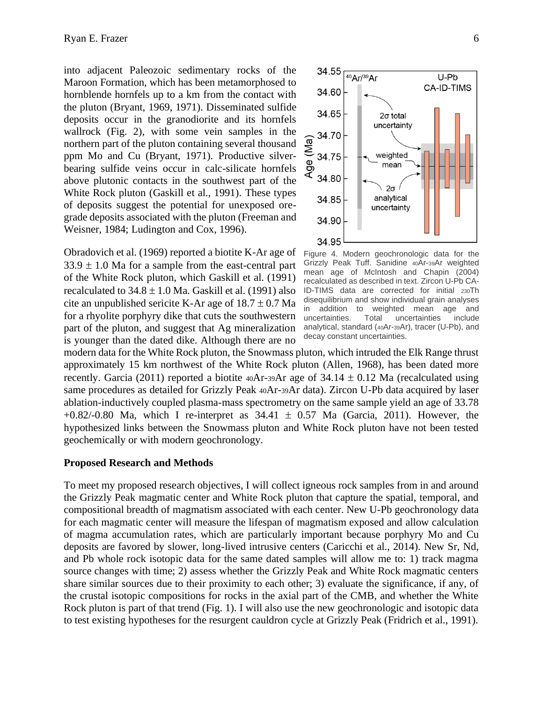into adjacent Paleozoic sedimentary rocks of the Maroon Formation, which has been metamorphosed to hornblende hornfels up to a km from the contact with the pluton (Bryant, 1969, 1971). Disseminated sulfide deposits occur in the granodiorite and its hornfels wallrock (Fig. 2), with some vein samples in the northern part of the pluton containing several thousand ppm Mo and Cu (Bryant, 1971). Productive silverbearing sulfide veins occur in calc-silicate hornfels above plutonic contacts in the southwest part of the White Rock pluton (Gaskill et al., 1991). These types of deposits suggest the potential for unexposed oregrade deposits associated with the pluton (Freeman and Weisner, 1984; Ludington and Cox, 1996).

Obradovich et al. (1969) reported a biotite K-Ar age of  $33.9 \pm 1.0$  Ma for a sample from the east-central part of the White Rock pluton, which Gaskill et al. (1991) recalculated to  $34.8 \pm 1.0$  Ma. Gaskill et al. (1991) also cite an unpublished sericite K-Ar age of  $18.7 \pm 0.7$  Ma for a rhyolite porphyry dike that cuts the southwestern part of the pluton, and suggest that Ag mineralization is younger than the dated dike. Although there are no



Figure 4. Modern geochronologic data for the Grizzly Peak Tuff. Sanidine 40Ar-39Ar weighted mean age of McIntosh and Chapin (2004) recalculated as described in text. Zircon U-Pb CA-ID-TIMS data are corrected for initial 230Th disequilibrium and show individual grain analyses in addition to weighted mean age and uncertainties. Total uncertainties include analytical, standard (40Ar-39Ar), tracer (U-Pb), and decay constant uncertainties.

modern data for the White Rock pluton, the Snowmass pluton, which intruded the Elk Range thrust approximately 15 km northwest of the White Rock pluton (Allen, 1968), has been dated more recently. Garcia (2011) reported a biotite  $40Ar-39Ar$  age of  $34.14 \pm 0.12$  Ma (recalculated using same procedures as detailed for Grizzly Peak 40Ar-39Ar data). Zircon U-Pb data acquired by laser ablation-inductively coupled plasma-mass spectrometry on the same sample yield an age of 33.78  $+0.82/-0.80$  Ma, which I re-interpret as  $34.41 \pm 0.57$  Ma (Garcia, 2011). However, the hypothesized links between the Snowmass pluton and White Rock pluton have not been tested geochemically or with modern geochronology.

#### **Proposed Research and Methods**

To meet my proposed research objectives, I will collect igneous rock samples from in and around the Grizzly Peak magmatic center and White Rock pluton that capture the spatial, temporal, and compositional breadth of magmatism associated with each center. New U-Pb geochronology data for each magmatic center will measure the lifespan of magmatism exposed and allow calculation of magma accumulation rates, which are particularly important because porphyry Mo and Cu deposits are favored by slower, long-lived intrusive centers (Caricchi et al., 2014). New Sr, Nd, and Pb whole rock isotopic data for the same dated samples will allow me to: 1) track magma source changes with time; 2) assess whether the Grizzly Peak and White Rock magmatic centers share similar sources due to their proximity to each other; 3) evaluate the significance, if any, of the crustal isotopic compositions for rocks in the axial part of the CMB, and whether the White Rock pluton is part of that trend (Fig. 1). I will also use the new geochronologic and isotopic data to test existing hypotheses for the resurgent cauldron cycle at Grizzly Peak (Fridrich et al., 1991).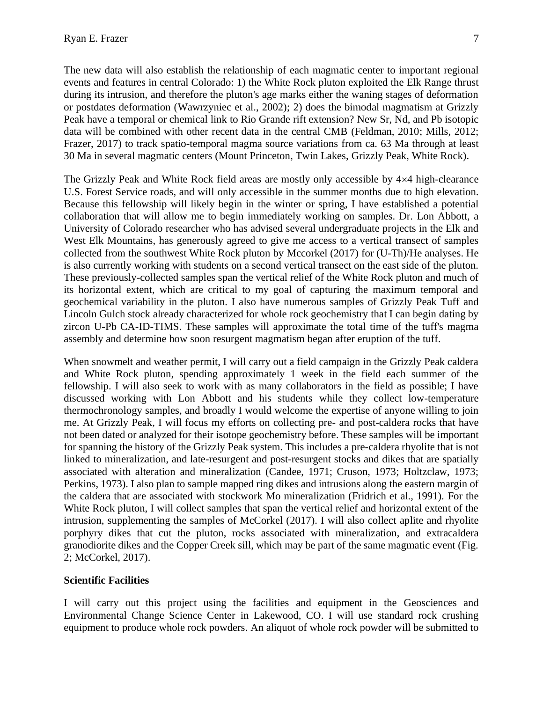The new data will also establish the relationship of each magmatic center to important regional events and features in central Colorado: 1) the White Rock pluton exploited the Elk Range thrust during its intrusion, and therefore the pluton's age marks either the waning stages of deformation or postdates deformation (Wawrzyniec et al., 2002); 2) does the bimodal magmatism at Grizzly Peak have a temporal or chemical link to Rio Grande rift extension? New Sr, Nd, and Pb isotopic data will be combined with other recent data in the central CMB (Feldman, 2010; Mills, 2012; Frazer, 2017) to track spatio-temporal magma source variations from ca. 63 Ma through at least 30 Ma in several magmatic centers (Mount Princeton, Twin Lakes, Grizzly Peak, White Rock).

The Grizzly Peak and White Rock field areas are mostly only accessible by  $4\times4$  high-clearance U.S. Forest Service roads, and will only accessible in the summer months due to high elevation. Because this fellowship will likely begin in the winter or spring, I have established a potential collaboration that will allow me to begin immediately working on samples. Dr. Lon Abbott, a University of Colorado researcher who has advised several undergraduate projects in the Elk and West Elk Mountains, has generously agreed to give me access to a vertical transect of samples collected from the southwest White Rock pluton by Mccorkel (2017) for (U-Th)/He analyses. He is also currently working with students on a second vertical transect on the east side of the pluton. These previously-collected samples span the vertical relief of the White Rock pluton and much of its horizontal extent, which are critical to my goal of capturing the maximum temporal and geochemical variability in the pluton. I also have numerous samples of Grizzly Peak Tuff and Lincoln Gulch stock already characterized for whole rock geochemistry that I can begin dating by zircon U-Pb CA-ID-TIMS. These samples will approximate the total time of the tuff's magma assembly and determine how soon resurgent magmatism began after eruption of the tuff.

When snowmelt and weather permit, I will carry out a field campaign in the Grizzly Peak caldera and White Rock pluton, spending approximately 1 week in the field each summer of the fellowship. I will also seek to work with as many collaborators in the field as possible; I have discussed working with Lon Abbott and his students while they collect low-temperature thermochronology samples, and broadly I would welcome the expertise of anyone willing to join me. At Grizzly Peak, I will focus my efforts on collecting pre- and post-caldera rocks that have not been dated or analyzed for their isotope geochemistry before. These samples will be important for spanning the history of the Grizzly Peak system. This includes a pre-caldera rhyolite that is not linked to mineralization, and late-resurgent and post-resurgent stocks and dikes that are spatially associated with alteration and mineralization (Candee, 1971; Cruson, 1973; Holtzclaw, 1973; Perkins, 1973). I also plan to sample mapped ring dikes and intrusions along the eastern margin of the caldera that are associated with stockwork Mo mineralization (Fridrich et al., 1991). For the White Rock pluton, I will collect samples that span the vertical relief and horizontal extent of the intrusion, supplementing the samples of McCorkel (2017). I will also collect aplite and rhyolite porphyry dikes that cut the pluton, rocks associated with mineralization, and extracaldera granodiorite dikes and the Copper Creek sill, which may be part of the same magmatic event (Fig. 2; McCorkel, 2017).

## **Scientific Facilities**

I will carry out this project using the facilities and equipment in the Geosciences and Environmental Change Science Center in Lakewood, CO. I will use standard rock crushing equipment to produce whole rock powders. An aliquot of whole rock powder will be submitted to